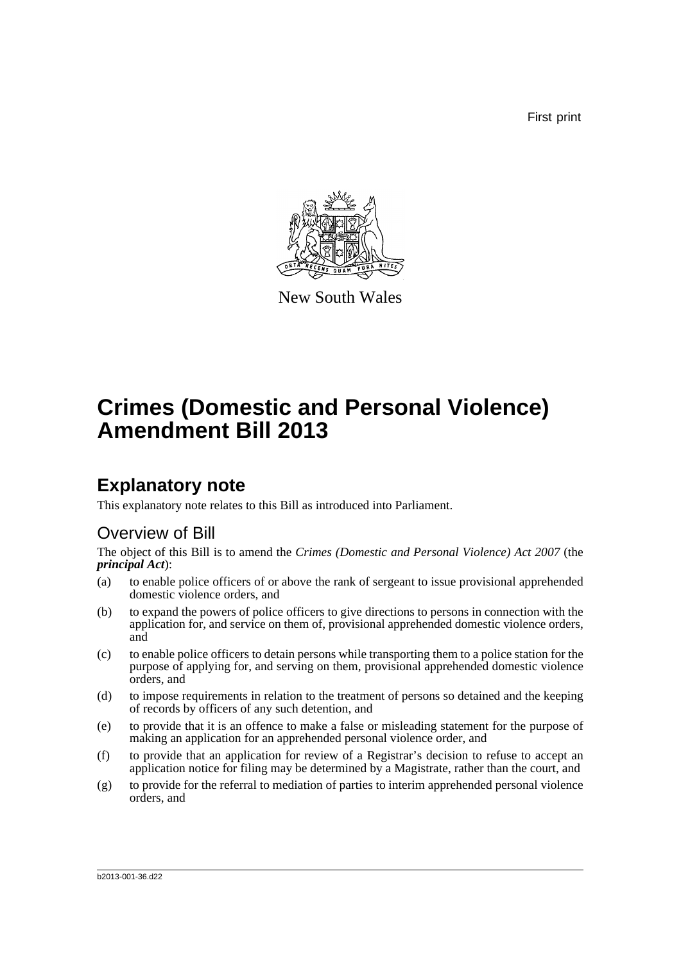First print



New South Wales

# **Crimes (Domestic and Personal Violence) Amendment Bill 2013**

# **Explanatory note**

This explanatory note relates to this Bill as introduced into Parliament.

## Overview of Bill

The object of this Bill is to amend the *Crimes (Domestic and Personal Violence) Act 2007* (the *principal Act*):

- (a) to enable police officers of or above the rank of sergeant to issue provisional apprehended domestic violence orders, and
- (b) to expand the powers of police officers to give directions to persons in connection with the application for, and service on them of, provisional apprehended domestic violence orders, and
- (c) to enable police officers to detain persons while transporting them to a police station for the purpose of applying for, and serving on them, provisional apprehended domestic violence orders, and
- (d) to impose requirements in relation to the treatment of persons so detained and the keeping of records by officers of any such detention, and
- (e) to provide that it is an offence to make a false or misleading statement for the purpose of making an application for an apprehended personal violence order, and
- (f) to provide that an application for review of a Registrar's decision to refuse to accept an application notice for filing may be determined by a Magistrate, rather than the court, and
- (g) to provide for the referral to mediation of parties to interim apprehended personal violence orders, and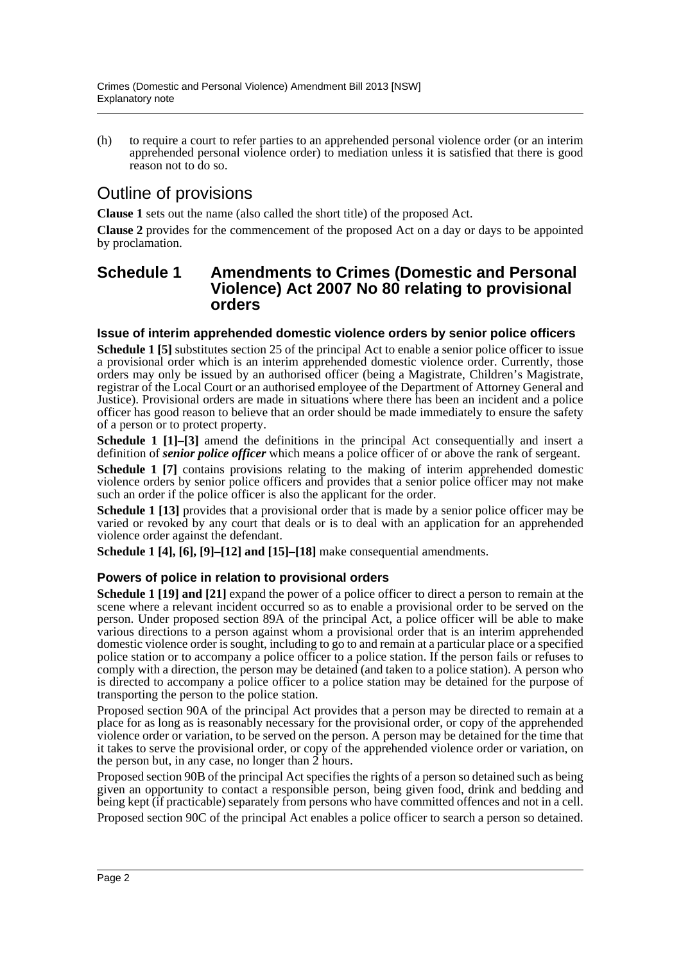(h) to require a court to refer parties to an apprehended personal violence order (or an interim apprehended personal violence order) to mediation unless it is satisfied that there is good reason not to do so.

## Outline of provisions

**Clause 1** sets out the name (also called the short title) of the proposed Act.

**Clause 2** provides for the commencement of the proposed Act on a day or days to be appointed by proclamation.

### **Schedule 1 Amendments to Crimes (Domestic and Personal Violence) Act 2007 No 80 relating to provisional orders**

#### **Issue of interim apprehended domestic violence orders by senior police officers**

**Schedule 1 [5]** substitutes section 25 of the principal Act to enable a senior police officer to issue a provisional order which is an interim apprehended domestic violence order. Currently, those orders may only be issued by an authorised officer (being a Magistrate, Children's Magistrate, registrar of the Local Court or an authorised employee of the Department of Attorney General and Justice). Provisional orders are made in situations where there has been an incident and a police officer has good reason to believe that an order should be made immediately to ensure the safety of a person or to protect property.

**Schedule 1 [1]–[3]** amend the definitions in the principal Act consequentially and insert a definition of *senior police officer* which means a police officer of or above the rank of sergeant.

**Schedule 1 [7]** contains provisions relating to the making of interim apprehended domestic violence orders by senior police officers and provides that a senior police officer may not make such an order if the police officer is also the applicant for the order.

**Schedule 1 [13]** provides that a provisional order that is made by a senior police officer may be varied or revoked by any court that deals or is to deal with an application for an apprehended violence order against the defendant.

**Schedule 1 [4], [6], [9]–[12] and [15]–[18]** make consequential amendments.

### **Powers of police in relation to provisional orders**

**Schedule 1 [19] and [21]** expand the power of a police officer to direct a person to remain at the scene where a relevant incident occurred so as to enable a provisional order to be served on the person. Under proposed section 89A of the principal Act, a police officer will be able to make various directions to a person against whom a provisional order that is an interim apprehended domestic violence order is sought, including to go to and remain at a particular place or a specified police station or to accompany a police officer to a police station. If the person fails or refuses to comply with a direction, the person may be detained (and taken to a police station). A person who is directed to accompany a police officer to a police station may be detained for the purpose of transporting the person to the police station.

Proposed section 90A of the principal Act provides that a person may be directed to remain at a place for as long as is reasonably necessary for the provisional order, or copy of the apprehended violence order or variation, to be served on the person. A person may be detained for the time that it takes to serve the provisional order, or copy of the apprehended violence order or variation, on the person but, in any case, no longer than  $\tilde{2}$  hours.

Proposed section 90B of the principal Act specifies the rights of a person so detained such as being given an opportunity to contact a responsible person, being given food, drink and bedding and being kept (if practicable) separately from persons who have committed offences and not in a cell.

Proposed section 90C of the principal Act enables a police officer to search a person so detained.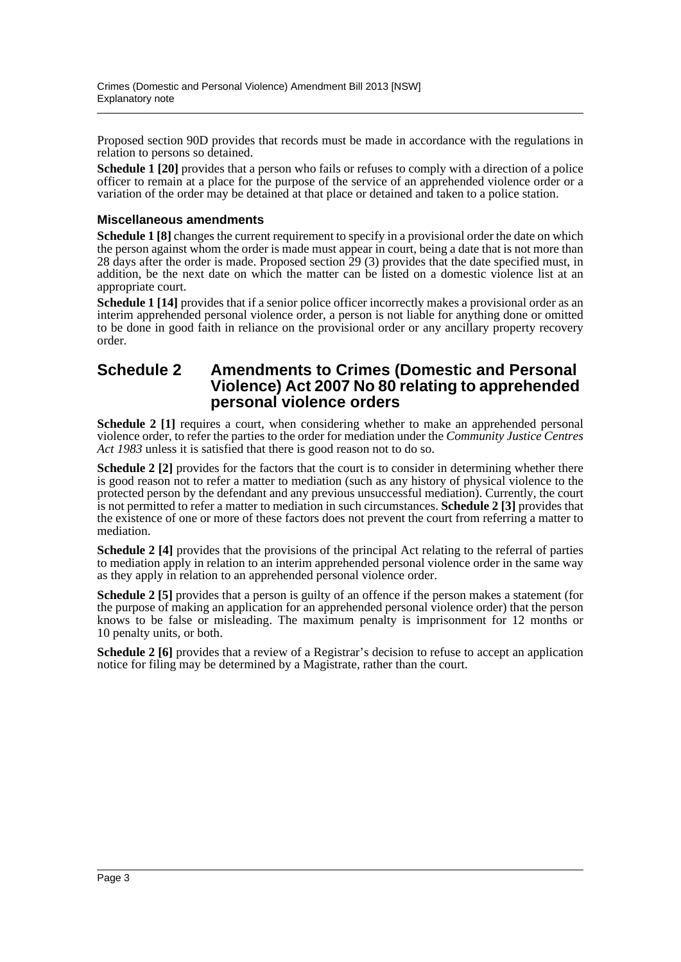Proposed section 90D provides that records must be made in accordance with the regulations in relation to persons so detained.

**Schedule 1 [20]** provides that a person who fails or refuses to comply with a direction of a police officer to remain at a place for the purpose of the service of an apprehended violence order or a variation of the order may be detained at that place or detained and taken to a police station.

### **Miscellaneous amendments**

**Schedule 1 [8]** changes the current requirement to specify in a provisional order the date on which the person against whom the order is made must appear in court, being a date that is not more than 28 days after the order is made. Proposed section 29 (3) provides that the date specified must, in addition, be the next date on which the matter can be listed on a domestic violence list at an appropriate court.

**Schedule 1 [14]** provides that if a senior police officer incorrectly makes a provisional order as an interim apprehended personal violence order, a person is not liable for anything done or omitted to be done in good faith in reliance on the provisional order or any ancillary property recovery order.

### **Schedule 2 Amendments to Crimes (Domestic and Personal Violence) Act 2007 No 80 relating to apprehended personal violence orders**

**Schedule 2 [1]** requires a court, when considering whether to make an apprehended personal violence order, to refer the parties to the order for mediation under the *Community Justice Centres Act 1983* unless it is satisfied that there is good reason not to do so.

**Schedule 2 [2]** provides for the factors that the court is to consider in determining whether there is good reason not to refer a matter to mediation (such as any history of physical violence to the protected person by the defendant and any previous unsuccessful mediation). Currently, the court is not permitted to refer a matter to mediation in such circumstances. **Schedule 2 [3]** provides that the existence of one or more of these factors does not prevent the court from referring a matter to mediation.

**Schedule 2 [4]** provides that the provisions of the principal Act relating to the referral of parties to mediation apply in relation to an interim apprehended personal violence order in the same way as they apply in relation to an apprehended personal violence order.

**Schedule 2 [5]** provides that a person is guilty of an offence if the person makes a statement (for the purpose of making an application for an apprehended personal violence order) that the person knows to be false or misleading. The maximum penalty is imprisonment for 12 months or 10 penalty units, or both.

**Schedule 2 [6]** provides that a review of a Registrar's decision to refuse to accept an application notice for filing may be determined by a Magistrate, rather than the court.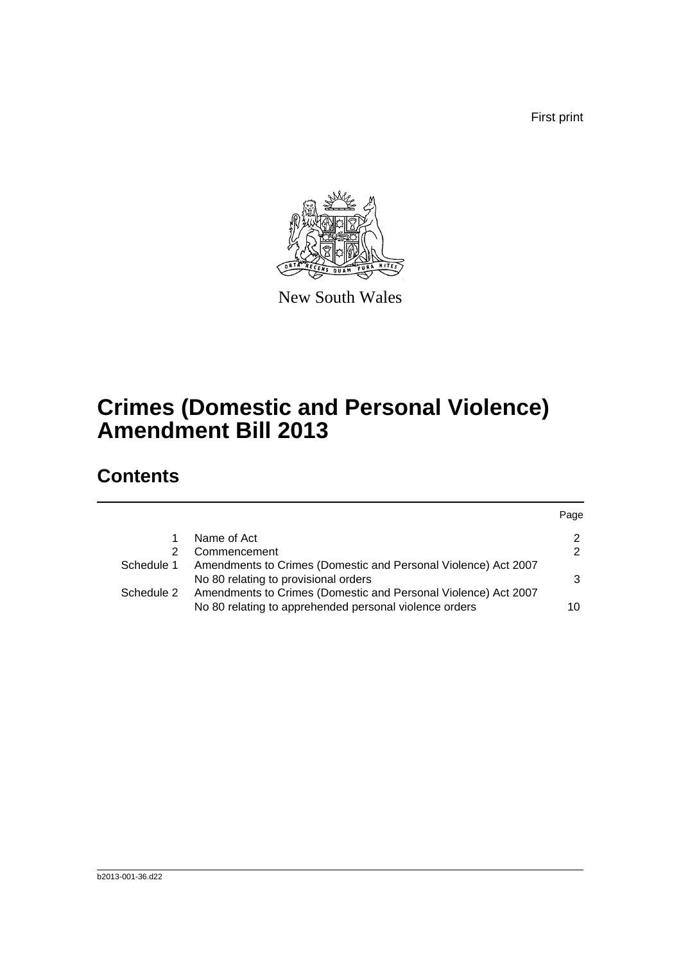First print



New South Wales

# **Crimes (Domestic and Personal Violence) Amendment Bill 2013**

# **Contents**

|            |                                                                                                                          | Page          |
|------------|--------------------------------------------------------------------------------------------------------------------------|---------------|
|            | Name of Act                                                                                                              | $\mathbf{2}$  |
| 2          | Commencement                                                                                                             | $\mathcal{P}$ |
| Schedule 1 | Amendments to Crimes (Domestic and Personal Violence) Act 2007<br>No 80 relating to provisional orders                   | 3             |
| Schedule 2 | Amendments to Crimes (Domestic and Personal Violence) Act 2007<br>No 80 relating to apprehended personal violence orders | 10            |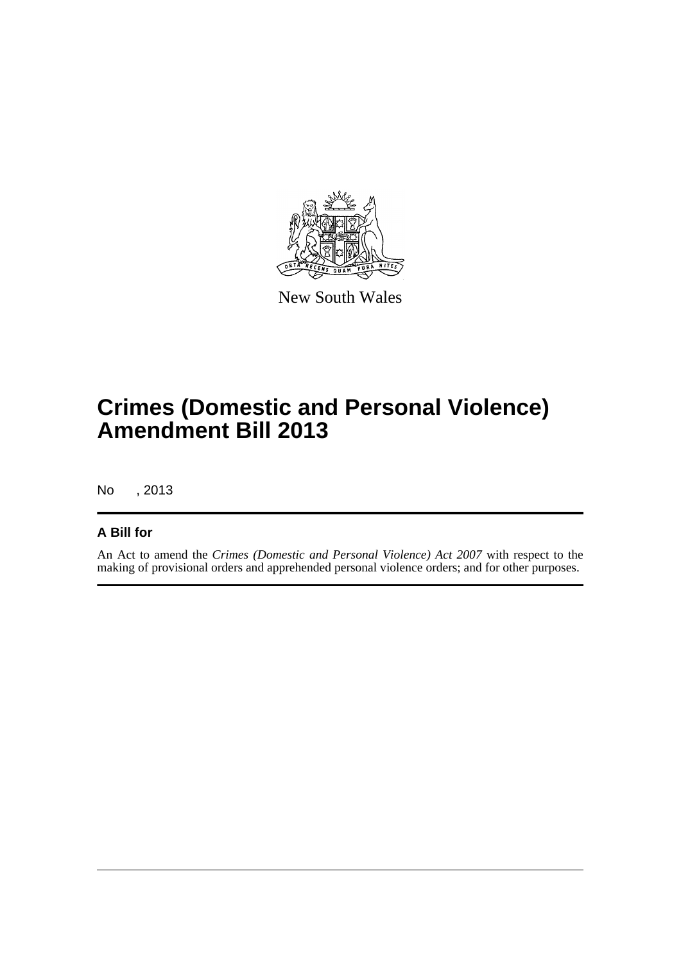

New South Wales

# **Crimes (Domestic and Personal Violence) Amendment Bill 2013**

No , 2013

## **A Bill for**

An Act to amend the *Crimes (Domestic and Personal Violence) Act 2007* with respect to the making of provisional orders and apprehended personal violence orders; and for other purposes.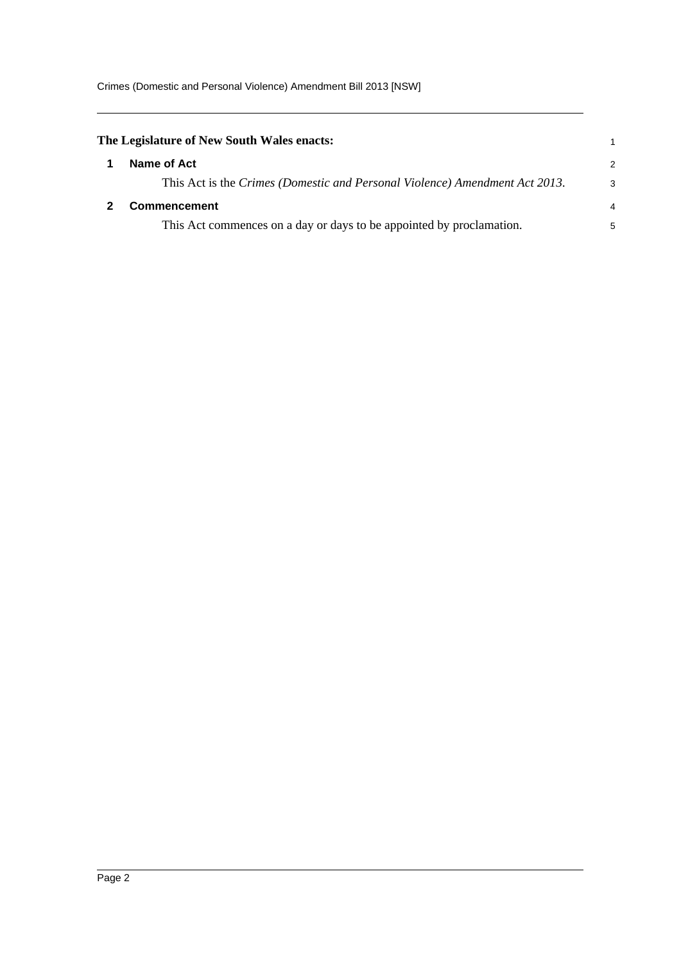<span id="page-5-1"></span><span id="page-5-0"></span>

| The Legislature of New South Wales enacts:                                  |   |
|-----------------------------------------------------------------------------|---|
| Name of Act                                                                 | 2 |
| This Act is the Crimes (Domestic and Personal Violence) Amendment Act 2013. | 3 |
| <b>Commencement</b>                                                         | 4 |
| This Act commences on a day or days to be appointed by proclamation.        | 5 |
|                                                                             |   |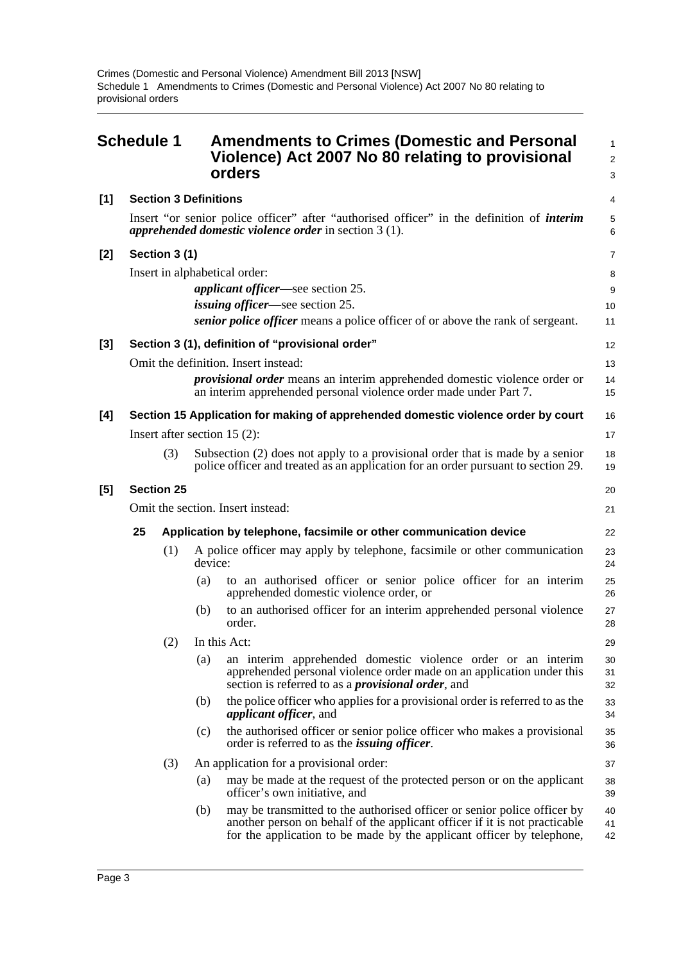<span id="page-6-0"></span>

|       | <b>Schedule 1</b>                 |                              |                                                                   | <b>Amendments to Crimes (Domestic and Personal</b><br>Violence) Act 2007 No 80 relating to provisional<br>orders                                                                                                                | $\mathbf{1}$<br>2<br>3 |  |  |
|-------|-----------------------------------|------------------------------|-------------------------------------------------------------------|---------------------------------------------------------------------------------------------------------------------------------------------------------------------------------------------------------------------------------|------------------------|--|--|
| $[1]$ |                                   | <b>Section 3 Definitions</b> |                                                                   |                                                                                                                                                                                                                                 | 4                      |  |  |
|       |                                   |                              |                                                                   | Insert "or senior police officer" after "authorised officer" in the definition of <i>interim</i><br>apprehended domestic violence order in section $3(1)$ .                                                                     | 5<br>6                 |  |  |
| [2]   |                                   | Section 3 (1)                |                                                                   |                                                                                                                                                                                                                                 | $\overline{7}$         |  |  |
|       |                                   |                              |                                                                   | Insert in alphabetical order:                                                                                                                                                                                                   | 8                      |  |  |
|       |                                   |                              |                                                                   | <i>applicant officer</i> —see section 25.<br><i>issuing officer</i> —see section 25.                                                                                                                                            | 9                      |  |  |
|       |                                   |                              |                                                                   | <i>senior police officer</i> means a police officer of or above the rank of sergeant.                                                                                                                                           | 10<br>11               |  |  |
| $[3]$ |                                   |                              |                                                                   | Section 3 (1), definition of "provisional order"                                                                                                                                                                                | 12                     |  |  |
|       |                                   |                              |                                                                   | Omit the definition. Insert instead:                                                                                                                                                                                            | 13                     |  |  |
|       |                                   |                              |                                                                   | <i>provisional order</i> means an interim apprehended domestic violence order or<br>an interim apprehended personal violence order made under Part 7.                                                                           | 14<br>15               |  |  |
| [4]   |                                   |                              |                                                                   | Section 15 Application for making of apprehended domestic violence order by court                                                                                                                                               | 16                     |  |  |
|       |                                   |                              |                                                                   | Insert after section 15 $(2)$ :                                                                                                                                                                                                 | 17                     |  |  |
|       |                                   | (3)                          |                                                                   | Subsection (2) does not apply to a provisional order that is made by a senior<br>police officer and treated as an application for an order pursuant to section 29.                                                              | 18<br>19               |  |  |
| [5]   | <b>Section 25</b>                 |                              |                                                                   |                                                                                                                                                                                                                                 |                        |  |  |
|       | Omit the section. Insert instead: |                              |                                                                   |                                                                                                                                                                                                                                 |                        |  |  |
|       | 25                                |                              | Application by telephone, facsimile or other communication device |                                                                                                                                                                                                                                 |                        |  |  |
|       |                                   | (1)                          | device:                                                           | A police officer may apply by telephone, facsimile or other communication                                                                                                                                                       | 23<br>24               |  |  |
|       |                                   |                              | (a)                                                               | to an authorised officer or senior police officer for an interim<br>apprehended domestic violence order, or                                                                                                                     | 25<br>26               |  |  |
|       |                                   |                              | (b)                                                               | to an authorised officer for an interim apprehended personal violence<br>order.                                                                                                                                                 | 27<br>28               |  |  |
|       |                                   | (2)                          |                                                                   | In this Act:                                                                                                                                                                                                                    | 29                     |  |  |
|       |                                   |                              | (a)                                                               | an interim apprehended domestic violence order or an interim<br>apprehended personal violence order made on an application under this<br>section is referred to as a <i>provisional order</i> , and                             | 30<br>31<br>32         |  |  |
|       |                                   |                              | (b)                                                               | the police officer who applies for a provisional order is referred to as the<br><i>applicant officer</i> , and                                                                                                                  | 33<br>34               |  |  |
|       |                                   |                              | (c)                                                               | the authorised officer or senior police officer who makes a provisional<br>order is referred to as the <i>issuing officer</i> .                                                                                                 | 35<br>36               |  |  |
|       |                                   | (3)                          |                                                                   | An application for a provisional order:                                                                                                                                                                                         | 37                     |  |  |
|       |                                   |                              | (a)                                                               | may be made at the request of the protected person or on the applicant<br>officer's own initiative, and                                                                                                                         | 38<br>39               |  |  |
|       |                                   |                              | (b)                                                               | may be transmitted to the authorised officer or senior police officer by<br>another person on behalf of the applicant officer if it is not practicable<br>for the application to be made by the applicant officer by telephone, | 40<br>41<br>42         |  |  |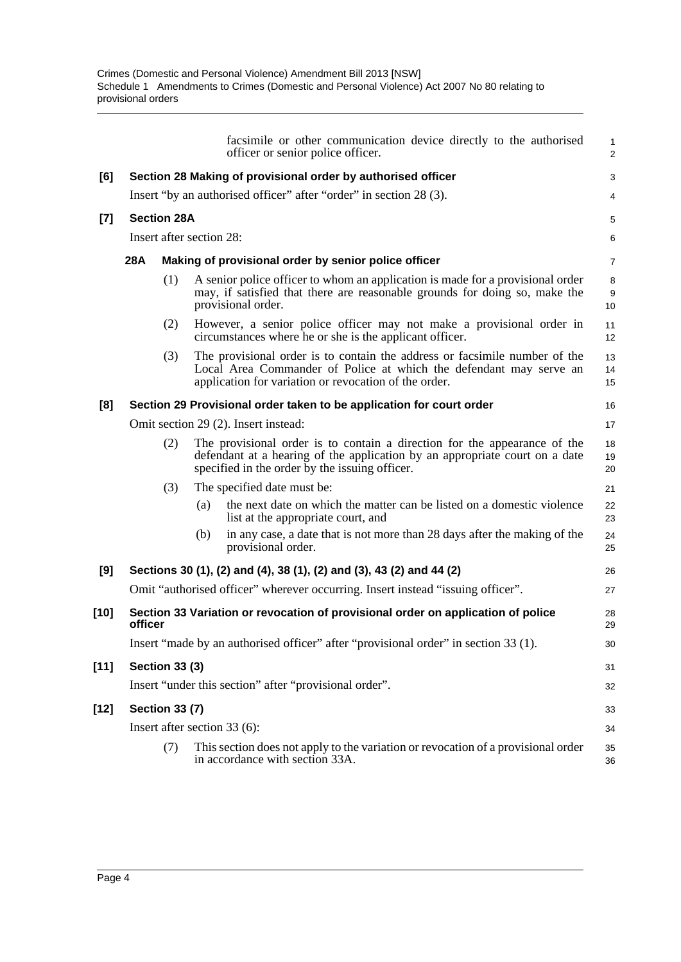|        |                                                              |                                                                    |                          | facsimile or other communication device directly to the authorised<br>officer or senior police officer.                                                                                                    | 1<br>$\overline{2}$ |  |  |  |  |
|--------|--------------------------------------------------------------|--------------------------------------------------------------------|--------------------------|------------------------------------------------------------------------------------------------------------------------------------------------------------------------------------------------------------|---------------------|--|--|--|--|
| [6]    | Section 28 Making of provisional order by authorised officer |                                                                    |                          |                                                                                                                                                                                                            |                     |  |  |  |  |
|        |                                                              | Insert "by an authorised officer" after "order" in section 28 (3). |                          |                                                                                                                                                                                                            |                     |  |  |  |  |
| $[7]$  |                                                              | <b>Section 28A</b>                                                 |                          |                                                                                                                                                                                                            |                     |  |  |  |  |
|        |                                                              |                                                                    | Insert after section 28: |                                                                                                                                                                                                            | 6                   |  |  |  |  |
|        | <b>28A</b>                                                   |                                                                    |                          | Making of provisional order by senior police officer                                                                                                                                                       | $\overline{7}$      |  |  |  |  |
|        |                                                              | (1)                                                                |                          | A senior police officer to whom an application is made for a provisional order<br>may, if satisfied that there are reasonable grounds for doing so, make the<br>provisional order.                         | 8<br>9<br>10        |  |  |  |  |
|        |                                                              | (2)                                                                |                          | However, a senior police officer may not make a provisional order in<br>circumstances where he or she is the applicant officer.                                                                            | 11<br>12            |  |  |  |  |
|        |                                                              | (3)                                                                |                          | The provisional order is to contain the address or facsimile number of the<br>Local Area Commander of Police at which the defendant may serve an<br>application for variation or revocation of the order.  | 13<br>14<br>15      |  |  |  |  |
| [8]    |                                                              |                                                                    |                          | Section 29 Provisional order taken to be application for court order                                                                                                                                       | 16                  |  |  |  |  |
|        |                                                              |                                                                    |                          | Omit section 29 (2). Insert instead:                                                                                                                                                                       | 17                  |  |  |  |  |
|        |                                                              | (2)                                                                |                          | The provisional order is to contain a direction for the appearance of the<br>defendant at a hearing of the application by an appropriate court on a date<br>specified in the order by the issuing officer. | 18<br>19<br>20      |  |  |  |  |
|        |                                                              | (3)                                                                |                          | The specified date must be:                                                                                                                                                                                | 21                  |  |  |  |  |
|        |                                                              |                                                                    | (a)                      | the next date on which the matter can be listed on a domestic violence<br>list at the appropriate court, and                                                                                               | 22<br>23            |  |  |  |  |
|        |                                                              |                                                                    | (b)                      | in any case, a date that is not more than 28 days after the making of the<br>provisional order.                                                                                                            | 24<br>25            |  |  |  |  |
| [9]    |                                                              |                                                                    |                          | Sections 30 (1), (2) and (4), 38 (1), (2) and (3), 43 (2) and 44 (2)                                                                                                                                       | 26                  |  |  |  |  |
|        |                                                              |                                                                    |                          | Omit "authorised officer" wherever occurring. Insert instead "issuing officer".                                                                                                                            | 27                  |  |  |  |  |
| $[10]$ | officer                                                      |                                                                    |                          | Section 33 Variation or revocation of provisional order on application of police                                                                                                                           | 28<br>29            |  |  |  |  |
|        |                                                              |                                                                    |                          | Insert "made by an authorised officer" after "provisional order" in section 33 (1).                                                                                                                        | 30                  |  |  |  |  |
| $[11]$ |                                                              | <b>Section 33 (3)</b>                                              |                          |                                                                                                                                                                                                            | 31                  |  |  |  |  |
|        |                                                              |                                                                    |                          | Insert "under this section" after "provisional order".                                                                                                                                                     | 32                  |  |  |  |  |
| $[12]$ |                                                              | <b>Section 33 (7)</b>                                              |                          |                                                                                                                                                                                                            | 33                  |  |  |  |  |
|        |                                                              |                                                                    |                          | Insert after section 33 (6):                                                                                                                                                                               | 34                  |  |  |  |  |
|        |                                                              | (7)                                                                |                          | This section does not apply to the variation or revocation of a provisional order<br>in accordance with section 33A.                                                                                       | 35<br>36            |  |  |  |  |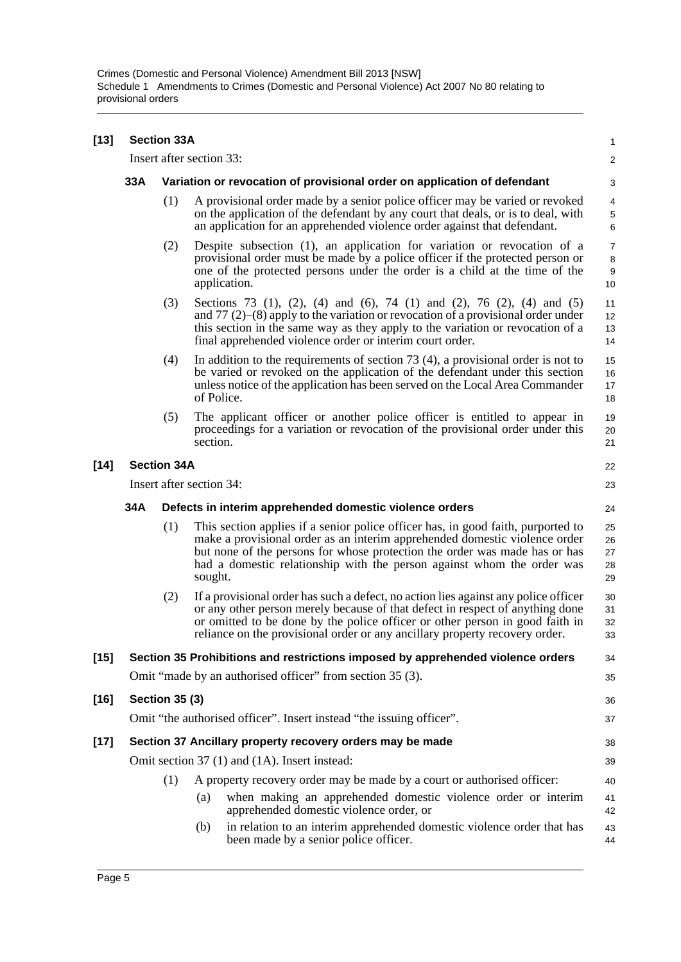| $[13]$ | <b>Section 33A</b>       |                                                                          |          |                                                                                                                                                                                                                                                                                                                                     |                                    |  |  |  |
|--------|--------------------------|--------------------------------------------------------------------------|----------|-------------------------------------------------------------------------------------------------------------------------------------------------------------------------------------------------------------------------------------------------------------------------------------------------------------------------------------|------------------------------------|--|--|--|
|        |                          | Insert after section 33:                                                 |          |                                                                                                                                                                                                                                                                                                                                     | 2                                  |  |  |  |
|        | 33A                      | Variation or revocation of provisional order on application of defendant |          |                                                                                                                                                                                                                                                                                                                                     |                                    |  |  |  |
|        |                          | (1)                                                                      |          | A provisional order made by a senior police officer may be varied or revoked<br>on the application of the defendant by any court that deals, or is to deal, with<br>an application for an apprehended violence order against that defendant.                                                                                        | 4<br>$\,$ 5 $\,$<br>6              |  |  |  |
|        |                          | (2)                                                                      |          | Despite subsection (1), an application for variation or revocation of a<br>provisional order must be made by a police officer if the protected person or<br>one of the protected persons under the order is a child at the time of the<br>application.                                                                              | $\overline{7}$<br>8<br>$9\,$<br>10 |  |  |  |
|        |                          | (3)                                                                      |          | Sections 73 (1), (2), (4) and (6), 74 (1) and (2), 76 (2), (4) and (5)<br>and $77$ (2)–(8) apply to the variation or revocation of a provisional order under<br>this section in the same way as they apply to the variation or revocation of a<br>final apprehended violence order or interim court order.                          | 11<br>12<br>13<br>14               |  |  |  |
|        |                          | (4)                                                                      |          | In addition to the requirements of section $73(4)$ , a provisional order is not to<br>be varied or revoked on the application of the defendant under this section<br>unless notice of the application has been served on the Local Area Commander<br>of Police.                                                                     | 15<br>16<br>17<br>18               |  |  |  |
|        |                          | (5)                                                                      | section. | The applicant officer or another police officer is entitled to appear in<br>proceedings for a variation or revocation of the provisional order under this                                                                                                                                                                           | 19<br>20<br>21                     |  |  |  |
| $[14]$ | <b>Section 34A</b>       |                                                                          |          |                                                                                                                                                                                                                                                                                                                                     |                                    |  |  |  |
|        | Insert after section 34: |                                                                          |          |                                                                                                                                                                                                                                                                                                                                     |                                    |  |  |  |
|        | 34A                      |                                                                          |          | Defects in interim apprehended domestic violence orders                                                                                                                                                                                                                                                                             | 24                                 |  |  |  |
|        |                          | (1)                                                                      | sought.  | This section applies if a senior police officer has, in good faith, purported to<br>make a provisional order as an interim apprehended domestic violence order<br>but none of the persons for whose protection the order was made has or has<br>had a domestic relationship with the person against whom the order was              | 25<br>26<br>27<br>28<br>29         |  |  |  |
|        |                          | (2)                                                                      |          | If a provisional order has such a defect, no action lies against any police officer<br>or any other person merely because of that defect in respect of anything done<br>or omitted to be done by the police officer or other person in good faith in<br>reliance on the provisional order or any ancillary property recovery order. | 30<br>31<br>32<br>33               |  |  |  |
| $[15]$ |                          |                                                                          |          | Section 35 Prohibitions and restrictions imposed by apprehended violence orders                                                                                                                                                                                                                                                     | 34                                 |  |  |  |
|        |                          |                                                                          |          | Omit "made by an authorised officer" from section 35 (3).                                                                                                                                                                                                                                                                           | 35                                 |  |  |  |
| $[16]$ |                          | <b>Section 35 (3)</b>                                                    |          |                                                                                                                                                                                                                                                                                                                                     | 36                                 |  |  |  |
|        |                          |                                                                          |          | Omit "the authorised officer". Insert instead "the issuing officer".                                                                                                                                                                                                                                                                | 37                                 |  |  |  |
| $[17]$ |                          | Section 37 Ancillary property recovery orders may be made                |          |                                                                                                                                                                                                                                                                                                                                     |                                    |  |  |  |
|        |                          |                                                                          |          | Omit section 37 (1) and (1A). Insert instead:                                                                                                                                                                                                                                                                                       | 39                                 |  |  |  |
|        |                          | (1)                                                                      |          | A property recovery order may be made by a court or authorised officer:                                                                                                                                                                                                                                                             | 40                                 |  |  |  |
|        |                          |                                                                          | (a)      | when making an apprehended domestic violence order or interim<br>apprehended domestic violence order, or                                                                                                                                                                                                                            | 41<br>42                           |  |  |  |
|        |                          |                                                                          | (b)      | in relation to an interim apprehended domestic violence order that has<br>been made by a senior police officer.                                                                                                                                                                                                                     | 43<br>44                           |  |  |  |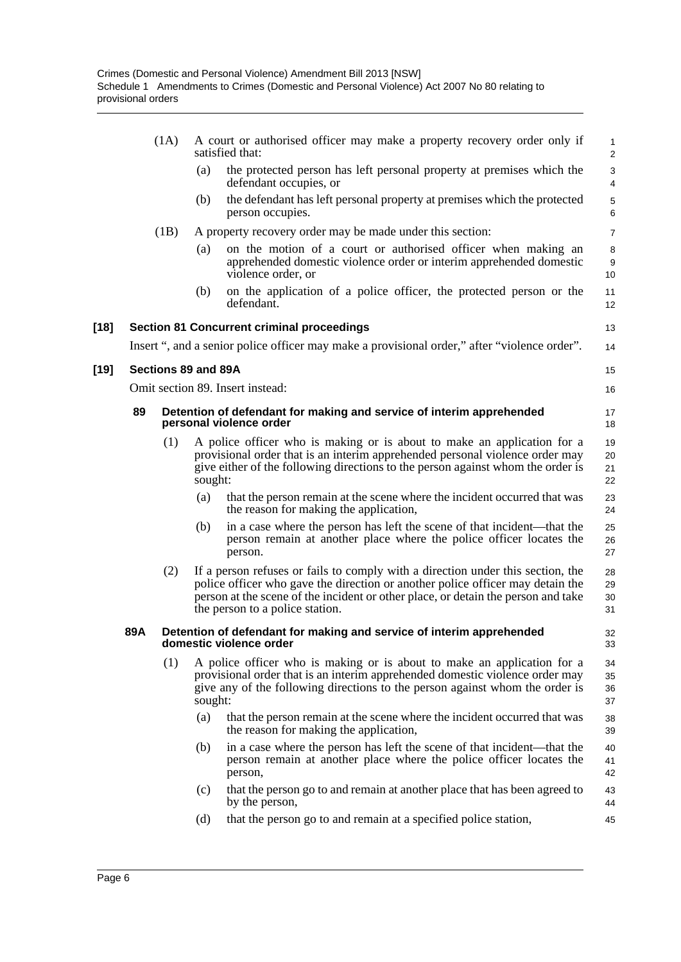|        |     | (1A)                                                                                            |         | A court or authorised officer may make a property recovery order only if<br>satisfied that:                                                                                                                                                                                               | 1<br>$\overline{\mathbf{c}}$ |  |  |
|--------|-----|-------------------------------------------------------------------------------------------------|---------|-------------------------------------------------------------------------------------------------------------------------------------------------------------------------------------------------------------------------------------------------------------------------------------------|------------------------------|--|--|
|        |     |                                                                                                 | (a)     | the protected person has left personal property at premises which the<br>defendant occupies, or                                                                                                                                                                                           | $\frac{3}{4}$                |  |  |
|        |     |                                                                                                 | (b)     | the defendant has left personal property at premises which the protected<br>person occupies.                                                                                                                                                                                              | 5<br>6                       |  |  |
|        |     | (1B)                                                                                            |         | A property recovery order may be made under this section:                                                                                                                                                                                                                                 | $\overline{7}$               |  |  |
|        |     |                                                                                                 | (a)     | on the motion of a court or authorised officer when making an<br>apprehended domestic violence order or interim apprehended domestic<br>violence order, or                                                                                                                                | 8<br>9<br>10                 |  |  |
|        |     |                                                                                                 | (b)     | on the application of a police officer, the protected person or the<br>defendant.                                                                                                                                                                                                         | 11<br>12                     |  |  |
| [18]   |     |                                                                                                 |         | <b>Section 81 Concurrent criminal proceedings</b>                                                                                                                                                                                                                                         | 13                           |  |  |
|        |     |                                                                                                 |         | Insert ", and a senior police officer may make a provisional order," after "violence order".                                                                                                                                                                                              | 14                           |  |  |
| $[19]$ |     | Sections 89 and 89A                                                                             |         |                                                                                                                                                                                                                                                                                           | 15                           |  |  |
|        |     |                                                                                                 |         | Omit section 89. Insert instead:                                                                                                                                                                                                                                                          | 16                           |  |  |
|        | 89  |                                                                                                 |         | Detention of defendant for making and service of interim apprehended<br>personal violence order                                                                                                                                                                                           | 17<br>18                     |  |  |
|        |     | (1)                                                                                             | sought: | A police officer who is making or is about to make an application for a<br>provisional order that is an interim apprehended personal violence order may<br>give either of the following directions to the person against whom the order is                                                | 19<br>20<br>21<br>22         |  |  |
|        |     |                                                                                                 | (a)     | that the person remain at the scene where the incident occurred that was<br>the reason for making the application,                                                                                                                                                                        | 23<br>24                     |  |  |
|        |     |                                                                                                 | (b)     | in a case where the person has left the scene of that incident—that the<br>person remain at another place where the police officer locates the<br>person.                                                                                                                                 | 25<br>26<br>27               |  |  |
|        |     | (2)                                                                                             |         | If a person refuses or fails to comply with a direction under this section, the<br>police officer who gave the direction or another police officer may detain the<br>person at the scene of the incident or other place, or detain the person and take<br>the person to a police station. | 28<br>29<br>30<br>31         |  |  |
|        | 89A | Detention of defendant for making and service of interim apprehended<br>domestic violence order |         |                                                                                                                                                                                                                                                                                           |                              |  |  |
|        |     | (1)                                                                                             | sought: | A police officer who is making or is about to make an application for a<br>provisional order that is an interim apprehended domestic violence order may<br>give any of the following directions to the person against whom the order is                                                   | 34<br>35<br>36<br>37         |  |  |
|        |     |                                                                                                 | (a)     | that the person remain at the scene where the incident occurred that was<br>the reason for making the application,                                                                                                                                                                        | 38<br>39                     |  |  |
|        |     |                                                                                                 | (b)     | in a case where the person has left the scene of that incident—that the<br>person remain at another place where the police officer locates the<br>person,                                                                                                                                 | 40<br>41<br>42               |  |  |
|        |     |                                                                                                 | (c)     | that the person go to and remain at another place that has been agreed to<br>by the person,                                                                                                                                                                                               | 43<br>44                     |  |  |
|        |     |                                                                                                 | (d)     | that the person go to and remain at a specified police station,                                                                                                                                                                                                                           | 45                           |  |  |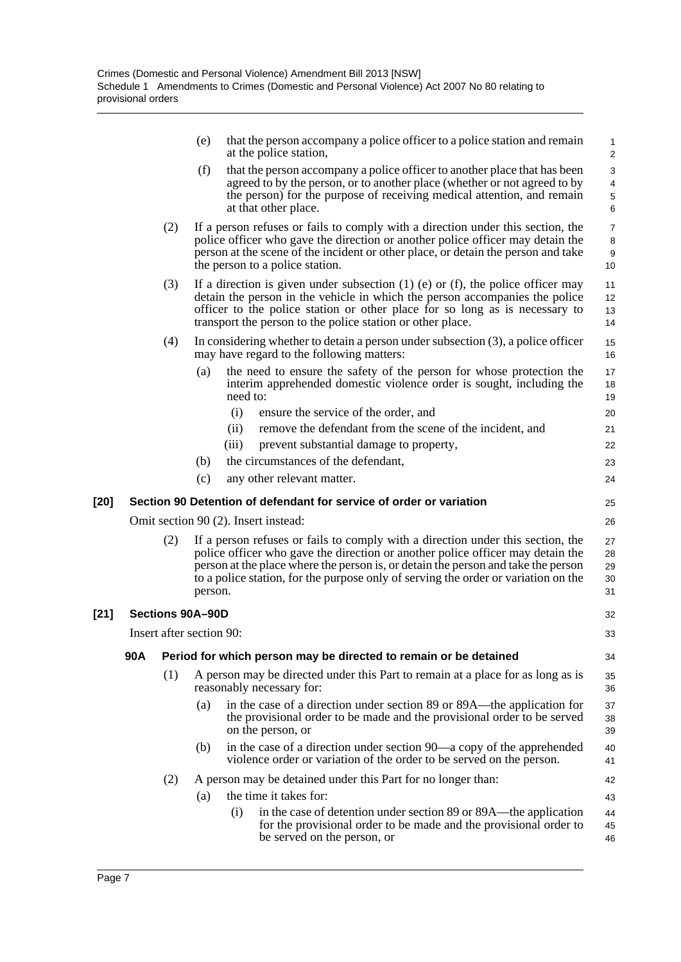|        |     |                          | (e)                                                              | that the person accompany a police officer to a police station and remain<br>at the police station,                                                                                                                                                                                                                                          | $\mathbf{1}$<br>$\overline{2}$                       |  |  |
|--------|-----|--------------------------|------------------------------------------------------------------|----------------------------------------------------------------------------------------------------------------------------------------------------------------------------------------------------------------------------------------------------------------------------------------------------------------------------------------------|------------------------------------------------------|--|--|
|        |     |                          | (f)                                                              | that the person accompany a police officer to another place that has been<br>agreed to by the person, or to another place (whether or not agreed to by<br>the person) for the purpose of receiving medical attention, and remain<br>at that other place.                                                                                     | 3<br>$\overline{\mathbf{4}}$<br>$\mathbf 5$<br>$\,6$ |  |  |
|        |     | (2)                      |                                                                  | If a person refuses or fails to comply with a direction under this section, the<br>police officer who gave the direction or another police officer may detain the<br>person at the scene of the incident or other place, or detain the person and take<br>the person to a police station.                                                    | $\overline{7}$<br>8<br>$\boldsymbol{9}$<br>10        |  |  |
|        |     | (3)                      |                                                                  | If a direction is given under subsection $(1)$ (e) or $(f)$ , the police officer may<br>detain the person in the vehicle in which the person accompanies the police<br>officer to the police station or other place for so long as is necessary to<br>transport the person to the police station or other place.                             | 11<br>12<br>13<br>14                                 |  |  |
|        |     | (4)                      |                                                                  | In considering whether to detain a person under subsection $(3)$ , a police officer<br>may have regard to the following matters:                                                                                                                                                                                                             | 15<br>16                                             |  |  |
|        |     |                          | (a)                                                              | the need to ensure the safety of the person for whose protection the<br>interim apprehended domestic violence order is sought, including the<br>need to:                                                                                                                                                                                     | 17<br>18<br>19                                       |  |  |
|        |     |                          |                                                                  | (i)<br>ensure the service of the order, and                                                                                                                                                                                                                                                                                                  | 20                                                   |  |  |
|        |     |                          |                                                                  | (ii)<br>remove the defendant from the scene of the incident, and                                                                                                                                                                                                                                                                             | 21                                                   |  |  |
|        |     |                          |                                                                  | (iii)<br>prevent substantial damage to property,                                                                                                                                                                                                                                                                                             | 22                                                   |  |  |
|        |     |                          | (b)                                                              | the circumstances of the defendant,                                                                                                                                                                                                                                                                                                          | 23                                                   |  |  |
|        |     |                          | (c)                                                              | any other relevant matter.                                                                                                                                                                                                                                                                                                                   | 24                                                   |  |  |
| $[20]$ |     |                          |                                                                  | Section 90 Detention of defendant for service of order or variation                                                                                                                                                                                                                                                                          | 25                                                   |  |  |
|        |     |                          |                                                                  | Omit section 90 (2). Insert instead:                                                                                                                                                                                                                                                                                                         | 26                                                   |  |  |
|        |     | (2)                      | person.                                                          | If a person refuses or fails to comply with a direction under this section, the<br>police officer who gave the direction or another police officer may detain the<br>person at the place where the person is, or detain the person and take the person<br>to a police station, for the purpose only of serving the order or variation on the | 27<br>28<br>29<br>30<br>31                           |  |  |
| $[21]$ |     | Sections 90A-90D         |                                                                  |                                                                                                                                                                                                                                                                                                                                              | 32                                                   |  |  |
|        |     | Insert after section 90: |                                                                  |                                                                                                                                                                                                                                                                                                                                              | 33                                                   |  |  |
|        | 90A |                          | Period for which person may be directed to remain or be detained |                                                                                                                                                                                                                                                                                                                                              |                                                      |  |  |
|        |     | (1)                      |                                                                  | A person may be directed under this Part to remain at a place for as long as is<br>reasonably necessary for:                                                                                                                                                                                                                                 | 35<br>36                                             |  |  |
|        |     |                          | (a)                                                              | in the case of a direction under section 89 or 89A—the application for<br>the provisional order to be made and the provisional order to be served<br>on the person, or                                                                                                                                                                       | 37<br>38<br>39                                       |  |  |
|        |     |                          | (b)                                                              | in the case of a direction under section 90—a copy of the apprehended<br>violence order or variation of the order to be served on the person.                                                                                                                                                                                                | 40<br>41                                             |  |  |
|        |     | (2)                      |                                                                  | A person may be detained under this Part for no longer than:                                                                                                                                                                                                                                                                                 | 42                                                   |  |  |
|        |     |                          | (a)                                                              | the time it takes for:                                                                                                                                                                                                                                                                                                                       | 43                                                   |  |  |
|        |     |                          |                                                                  | in the case of detention under section 89 or 89A—the application<br>(i)<br>for the provisional order to be made and the provisional order to<br>be served on the person, or                                                                                                                                                                  | 44<br>45<br>46                                       |  |  |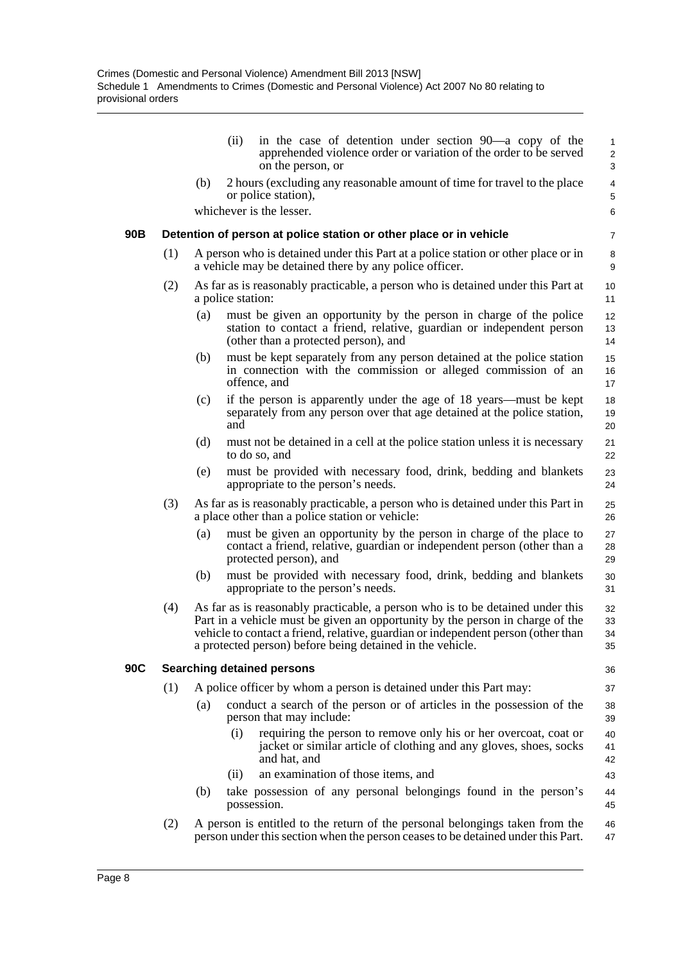|     |                                                                    |     | in the case of detention under section 90—a copy of the<br>(ii)<br>apprehended violence order or variation of the order to be served<br>on the person, or                                                                                                                                                         | $\mathbf{1}$<br>2<br>3        |  |  |  |  |
|-----|--------------------------------------------------------------------|-----|-------------------------------------------------------------------------------------------------------------------------------------------------------------------------------------------------------------------------------------------------------------------------------------------------------------------|-------------------------------|--|--|--|--|
|     |                                                                    | (b) | 2 hours (excluding any reasonable amount of time for travel to the place<br>or police station),                                                                                                                                                                                                                   | $\overline{4}$<br>$\mathbf 5$ |  |  |  |  |
|     |                                                                    |     | whichever is the lesser.                                                                                                                                                                                                                                                                                          | 6                             |  |  |  |  |
| 90B | Detention of person at police station or other place or in vehicle |     |                                                                                                                                                                                                                                                                                                                   |                               |  |  |  |  |
|     | (1)                                                                |     | A person who is detained under this Part at a police station or other place or in<br>a vehicle may be detained there by any police officer.                                                                                                                                                                       | 8<br>9                        |  |  |  |  |
|     | (2)                                                                |     | As far as is reasonably practicable, a person who is detained under this Part at<br>a police station:                                                                                                                                                                                                             | 10<br>11                      |  |  |  |  |
|     |                                                                    | (a) | must be given an opportunity by the person in charge of the police<br>station to contact a friend, relative, guardian or independent person<br>(other than a protected person), and                                                                                                                               | 12<br>13<br>14                |  |  |  |  |
|     |                                                                    | (b) | must be kept separately from any person detained at the police station<br>in connection with the commission or alleged commission of an<br>offence, and                                                                                                                                                           | 15<br>16<br>17                |  |  |  |  |
|     |                                                                    | (c) | if the person is apparently under the age of 18 years—must be kept<br>separately from any person over that age detained at the police station,<br>and                                                                                                                                                             | 18<br>19<br>20                |  |  |  |  |
|     |                                                                    | (d) | must not be detained in a cell at the police station unless it is necessary<br>to do so, and                                                                                                                                                                                                                      | 21<br>22                      |  |  |  |  |
|     |                                                                    | (e) | must be provided with necessary food, drink, bedding and blankets<br>appropriate to the person's needs.                                                                                                                                                                                                           | 23<br>24                      |  |  |  |  |
|     | (3)                                                                |     | As far as is reasonably practicable, a person who is detained under this Part in<br>a place other than a police station or vehicle:                                                                                                                                                                               | 25<br>26                      |  |  |  |  |
|     |                                                                    | (a) | must be given an opportunity by the person in charge of the place to<br>contact a friend, relative, guardian or independent person (other than a<br>protected person), and                                                                                                                                        | 27<br>28<br>29                |  |  |  |  |
|     |                                                                    | (b) | must be provided with necessary food, drink, bedding and blankets<br>appropriate to the person's needs.                                                                                                                                                                                                           | 30<br>31                      |  |  |  |  |
|     | (4)                                                                |     | As far as is reasonably practicable, a person who is to be detained under this<br>Part in a vehicle must be given an opportunity by the person in charge of the<br>vehicle to contact a friend, relative, guardian or independent person (other than<br>a protected person) before being detained in the vehicle. | 32<br>33<br>34<br>35          |  |  |  |  |
| 90C | <b>Searching detained persons</b><br>36                            |     |                                                                                                                                                                                                                                                                                                                   |                               |  |  |  |  |
|     | (1)                                                                |     | A police officer by whom a person is detained under this Part may:                                                                                                                                                                                                                                                | 37                            |  |  |  |  |
|     |                                                                    | (a) | conduct a search of the person or of articles in the possession of the<br>person that may include:                                                                                                                                                                                                                | 38<br>39                      |  |  |  |  |
|     |                                                                    |     | (i)<br>requiring the person to remove only his or her overcoat, coat or<br>jacket or similar article of clothing and any gloves, shoes, socks<br>and hat, and                                                                                                                                                     | 40<br>41<br>42                |  |  |  |  |
|     |                                                                    |     | an examination of those items, and<br>(ii)                                                                                                                                                                                                                                                                        | 43                            |  |  |  |  |
|     |                                                                    | (b) | take possession of any personal belongings found in the person's<br>possession.                                                                                                                                                                                                                                   | 44<br>45                      |  |  |  |  |
|     | (2)                                                                |     | A person is entitled to the return of the personal belongings taken from the<br>person under this section when the person ceases to be detained under this Part.                                                                                                                                                  | 46<br>47                      |  |  |  |  |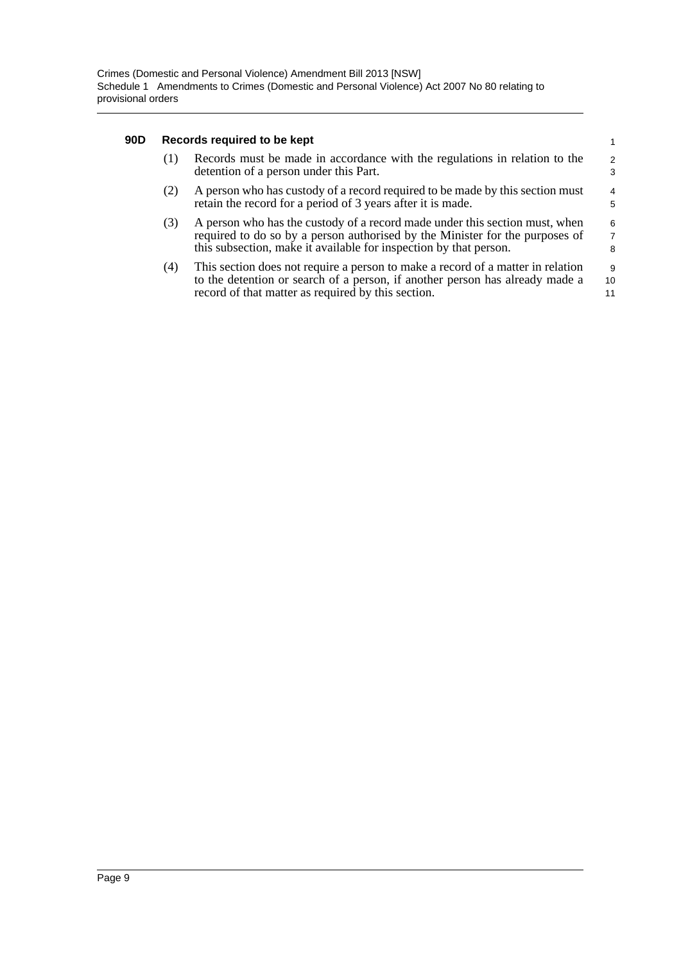#### **90D Records required to be kept**

|     | Records required to be kept                                                                                                                                                                                                      |                     |
|-----|----------------------------------------------------------------------------------------------------------------------------------------------------------------------------------------------------------------------------------|---------------------|
| (1) | Records must be made in accordance with the regulations in relation to the<br>detention of a person under this Part.                                                                                                             | $\mathfrak{p}$<br>3 |
| (2) | A person who has custody of a record required to be made by this section must<br>retain the record for a period of 3 years after it is made.                                                                                     | $\overline{4}$<br>5 |
| (3) | A person who has the custody of a record made under this section must, when<br>required to do so by a person authorised by the Minister for the purposes of<br>this subsection, make it available for inspection by that person. | 6<br>7<br>8         |
| (4) | This section does not require a person to make a record of a matter in relation<br>to the detention or search of a person, if another person has already made a<br>record of that matter as required by this section.            | 9<br>10<br>11       |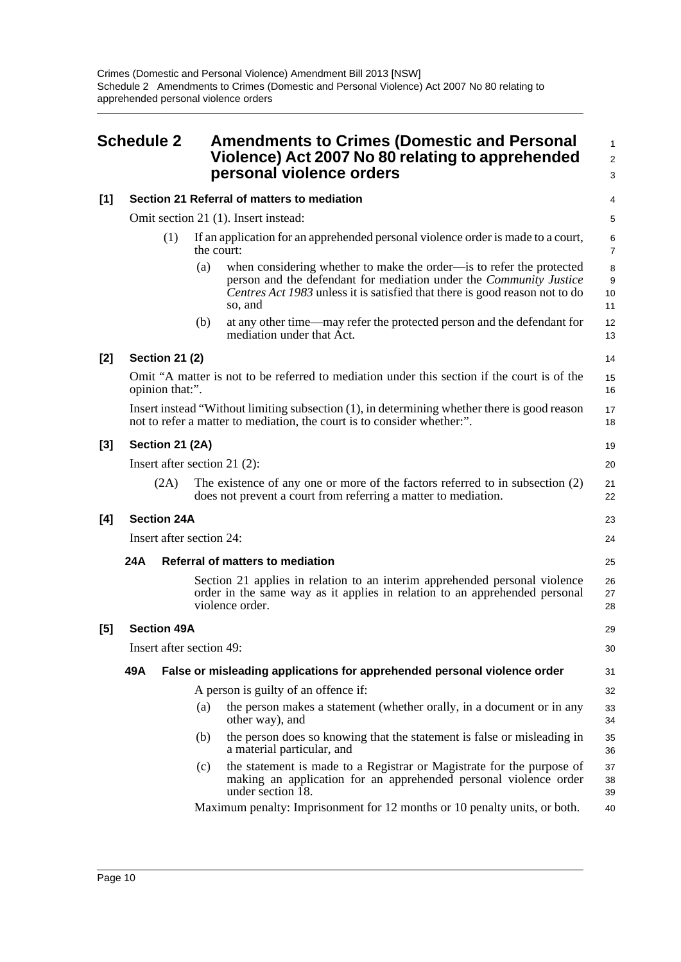<span id="page-13-0"></span>

|       | <b>Schedule 2</b>                           |                       |                                                                                                                                                   | <b>Amendments to Crimes (Domestic and Personal</b><br>Violence) Act 2007 No 80 relating to apprehended<br>personal violence orders                                                                                                          | $\mathbf{1}$<br>$\overline{2}$<br>3 |  |  |  |  |
|-------|---------------------------------------------|-----------------------|---------------------------------------------------------------------------------------------------------------------------------------------------|---------------------------------------------------------------------------------------------------------------------------------------------------------------------------------------------------------------------------------------------|-------------------------------------|--|--|--|--|
| $[1]$ | Section 21 Referral of matters to mediation |                       |                                                                                                                                                   |                                                                                                                                                                                                                                             |                                     |  |  |  |  |
|       |                                             |                       |                                                                                                                                                   | Omit section 21 (1). Insert instead:                                                                                                                                                                                                        |                                     |  |  |  |  |
|       | (1)                                         |                       | the court:                                                                                                                                        | If an application for an apprehended personal violence order is made to a court,                                                                                                                                                            | 6<br>$\overline{7}$                 |  |  |  |  |
|       |                                             |                       | (a)                                                                                                                                               | when considering whether to make the order—is to refer the protected<br>person and the defendant for mediation under the <i>Community Justice</i><br>Centres Act 1983 unless it is satisfied that there is good reason not to do<br>so, and | 8<br>9<br>10<br>11                  |  |  |  |  |
|       |                                             |                       | (b)                                                                                                                                               | at any other time—may refer the protected person and the defendant for<br>mediation under that Act.                                                                                                                                         | 12<br>13                            |  |  |  |  |
| $[2]$ |                                             | <b>Section 21 (2)</b> |                                                                                                                                                   |                                                                                                                                                                                                                                             | 14                                  |  |  |  |  |
|       |                                             | opinion that:".       |                                                                                                                                                   | Omit "A matter is not to be referred to mediation under this section if the court is of the                                                                                                                                                 | 15<br>16                            |  |  |  |  |
|       |                                             |                       |                                                                                                                                                   | Insert instead "Without limiting subsection (1), in determining whether there is good reason<br>not to refer a matter to mediation, the court is to consider whether.".                                                                     | 17<br>18                            |  |  |  |  |
| $[3]$ | Section 21 (2A)                             |                       |                                                                                                                                                   |                                                                                                                                                                                                                                             |                                     |  |  |  |  |
|       | Insert after section 21 $(2)$ :             |                       |                                                                                                                                                   |                                                                                                                                                                                                                                             |                                     |  |  |  |  |
|       | (2A)                                        |                       | The existence of any one or more of the factors referred to in subsection $(2)$<br>does not prevent a court from referring a matter to mediation. |                                                                                                                                                                                                                                             |                                     |  |  |  |  |
| [4]   | <b>Section 24A</b>                          |                       |                                                                                                                                                   |                                                                                                                                                                                                                                             |                                     |  |  |  |  |
|       | Insert after section 24:                    |                       |                                                                                                                                                   |                                                                                                                                                                                                                                             |                                     |  |  |  |  |
|       | 24A                                         |                       |                                                                                                                                                   | Referral of matters to mediation                                                                                                                                                                                                            | 25                                  |  |  |  |  |
|       |                                             |                       |                                                                                                                                                   | Section 21 applies in relation to an interim apprehended personal violence<br>order in the same way as it applies in relation to an apprehended personal<br>violence order.                                                                 | 26<br>27<br>28                      |  |  |  |  |
| [5]   |                                             | <b>Section 49A</b>    |                                                                                                                                                   |                                                                                                                                                                                                                                             | 29                                  |  |  |  |  |
|       | Insert after section 49:                    |                       |                                                                                                                                                   |                                                                                                                                                                                                                                             |                                     |  |  |  |  |
|       | 49A                                         |                       |                                                                                                                                                   | False or misleading applications for apprehended personal violence order                                                                                                                                                                    | 31                                  |  |  |  |  |
|       |                                             |                       |                                                                                                                                                   | A person is guilty of an offence if:                                                                                                                                                                                                        | 32                                  |  |  |  |  |
|       |                                             |                       | (a)                                                                                                                                               | the person makes a statement (whether orally, in a document or in any<br>other way), and                                                                                                                                                    | 33<br>34                            |  |  |  |  |
|       |                                             |                       | (b)                                                                                                                                               | the person does so knowing that the statement is false or misleading in<br>a material particular, and                                                                                                                                       | 35<br>36                            |  |  |  |  |
|       |                                             |                       | (c)                                                                                                                                               | the statement is made to a Registrar or Magistrate for the purpose of<br>making an application for an apprehended personal violence order<br>under section 18.                                                                              | 37<br>38<br>39                      |  |  |  |  |
|       |                                             |                       |                                                                                                                                                   | Maximum penalty: Imprisonment for 12 months or 10 penalty units, or both.                                                                                                                                                                   | 40                                  |  |  |  |  |